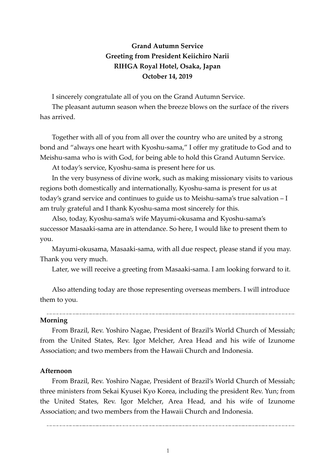## **Grand Autumn Service Greeting from President Keiichiro Narii RIHGA Royal Hotel, Osaka, Japan October 14, 2019**

I sincerely congratulate all of you on the Grand Autumn Service.

The pleasant autumn season when the breeze blows on the surface of the rivers has arrived.

Together with all of you from all over the country who are united by a strong bond and "always one heart with Kyoshu-sama," I offer my gratitude to God and to Meishu-sama who is with God, for being able to hold this Grand Autumn Service.

At today's service, Kyoshu-sama is present here for us.

In the very busyness of divine work, such as making missionary visits to various regions both domestically and internationally, Kyoshu-sama is present for us at today's grand service and continues to guide us to Meishu-sama's true salvation – I am truly grateful and I thank Kyoshu-sama most sincerely for this.

Also, today, Kyoshu-sama's wife Mayumi-okusama and Kyoshu-sama's successor Masaaki-sama are in attendance. So here, I would like to present them to you.

Mayumi-okusama, Masaaki-sama, with all due respect, please stand if you may. Thank you very much.

Later, we will receive a greeting from Masaaki-sama. I am looking forward to it.

Also attending today are those representing overseas members. I will introduce them to you.

## **Morning**

From Brazil, Rev. Yoshiro Nagae, President of Brazil's World Church of Messiah; from the United States, Rev. Igor Melcher, Area Head and his wife of Izunome Association; and two members from the Hawaii Church and Indonesia.

## **Afternoon**

From Brazil, Rev. Yoshiro Nagae, President of Brazil's World Church of Messiah; three ministers from Sekai Kyusei Kyo Korea, including the president Rev. Yun; from the United States, Rev. Igor Melcher, Area Head, and his wife of Izunome Association; and two members from the Hawaii Church and Indonesia.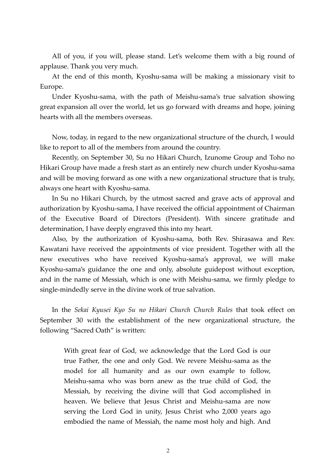All of you, if you will, please stand. Let's welcome them with a big round of applause. Thank you very much.

 At the end of this month, Kyoshu-sama will be making a missionary visit to Europe.

 Under Kyoshu-sama, with the path of Meishu-sama's true salvation showing great expansion all over the world, let us go forward with dreams and hope, joining hearts with all the members overseas.

 Now, today, in regard to the new organizational structure of the church, I would like to report to all of the members from around the country.

 Recently, on September 30, Su no Hikari Church, Izunome Group and Toho no Hikari Group have made a fresh start as an entirely new church under Kyoshu-sama and will be moving forward as one with a new organizational structure that is truly, always one heart with Kyoshu-sama.

In Su no Hikari Church, by the utmost sacred and grave acts of approval and authorization by Kyoshu-sama, I have received the official appointment of Chairman of the Executive Board of Directors (President). With sincere gratitude and determination, I have deeply engraved this into my heart.

 Also, by the authorization of Kyoshu-sama, both Rev. Shirasawa and Rev. Kawatani have received the appointments of vice president. Together with all the new executives who have received Kyoshu-sama's approval, we will make Kyoshu-sama's guidance the one and only, absolute guidepost without exception, and in the name of Messiah, which is one with Meishu-sama, we firmly pledge to single-mindedly serve in the divine work of true salvation.

 In the *Sekai Kyusei Kyo Su no Hikari Church Church Rules* that took effect on September 30 with the establishment of the new organizational structure, the following "Sacred Oath" is written:

With great fear of God, we acknowledge that the Lord God is our true Father, the one and only God. We revere Meishu-sama as the model for all humanity and as our own example to follow, Meishu-sama who was born anew as the true child of God, the Messiah, by receiving the divine will that God accomplished in heaven. We believe that Jesus Christ and Meishu-sama are now serving the Lord God in unity, Jesus Christ who 2,000 years ago embodied the name of Messiah, the name most holy and high. And